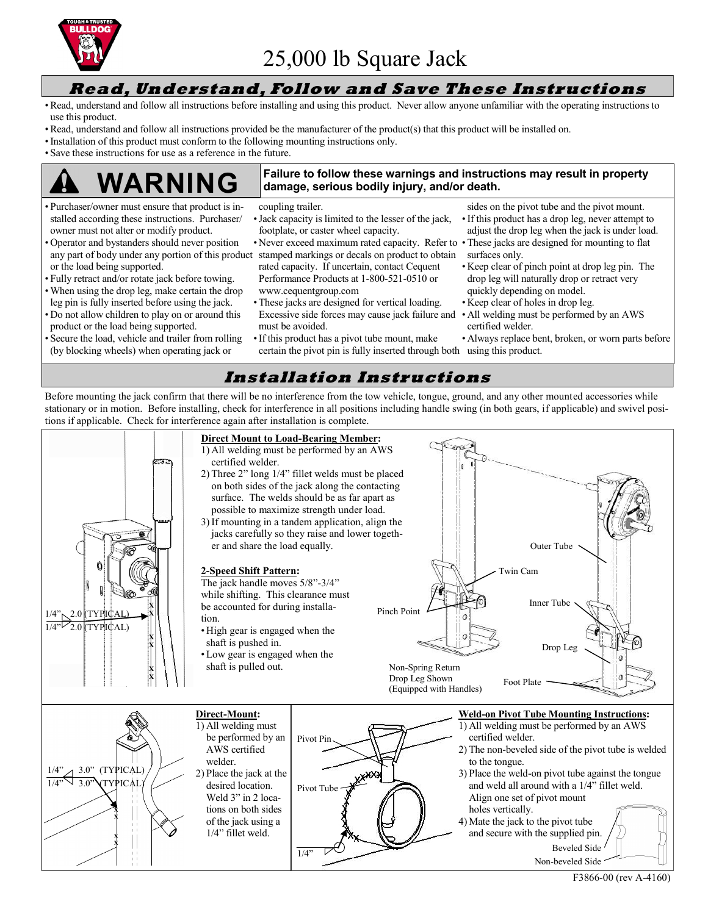

## **Read, Understand, Follow and Save These Instructions**

- •Read, understand and follow all instructions before installing and using this product. Never allow anyone unfamiliar with the operating instructions to use this product.
- •Read, understand and follow all instructions provided be the manufacturer of the product(s) that this product will be installed on.
- •Installation of this product must conform to the following mounting instructions only.
- Save these instructions for use as a reference in the future.

• Purchaser/owner must ensure that product is in-

owner must not alter or modify product.

product or the load being supported.

• Fully retract and/or rotate jack before towing. •When using the drop leg, make certain the drop leg pin is fully inserted before using the jack. • Do not allow children to play on or around this

• Secure the load, vehicle and trailer from rolling (by blocking wheels) when operating jack or

or the load being supported.

#### **Failure to follow these warnings and instructions may result in property WARNING damage, serious bodily injury, and/or death.**

coupling trailer.

- stalled according these instructions. Purchaser/ • Operator and bystanders should never position •Jack capacity is limited to the lesser of the jack, footplate, or caster wheel capacity.
- any part of body under any portion of this product stamped markings or decals on product to obtain surfaces only. • Never exceed maximum rated capacity. Refer to • These jacks are designed for mounting to flat rated capacity. If uncertain, contact Cequent Performance Products at 1-800-521-0510 or www.cequentgroup.com
	- These jacks are designed for vertical loading. Excessive side forces may cause jack failure and must be avoided.
	- •If this product has a pivot tube mount, make certain the pivot pin is fully inserted through both using this product.
- sides on the pivot tube and the pivot mount.
- •If this product has a drop leg, never attempt to
- adjust the drop leg when the jack is under load.
- Keep clear of pinch point at drop leg pin. The drop leg will naturally drop or retract very quickly depending on model.
- Keep clear of holes in drop leg.
- All welding must be performed by an AWS certified welder.
- Always replace bent, broken, or worn parts before

## **Installation Instructions**

Before mounting the jack confirm that there will be no interference from the tow vehicle, tongue, ground, and any other mounted accessories while stationary or in motion. Before installing, check for interference in all positions including handle swing (in both gears, if applicable) and swivel positions if applicable. Check for interference again after installation is complete.



F3866-00 (rev A-4160)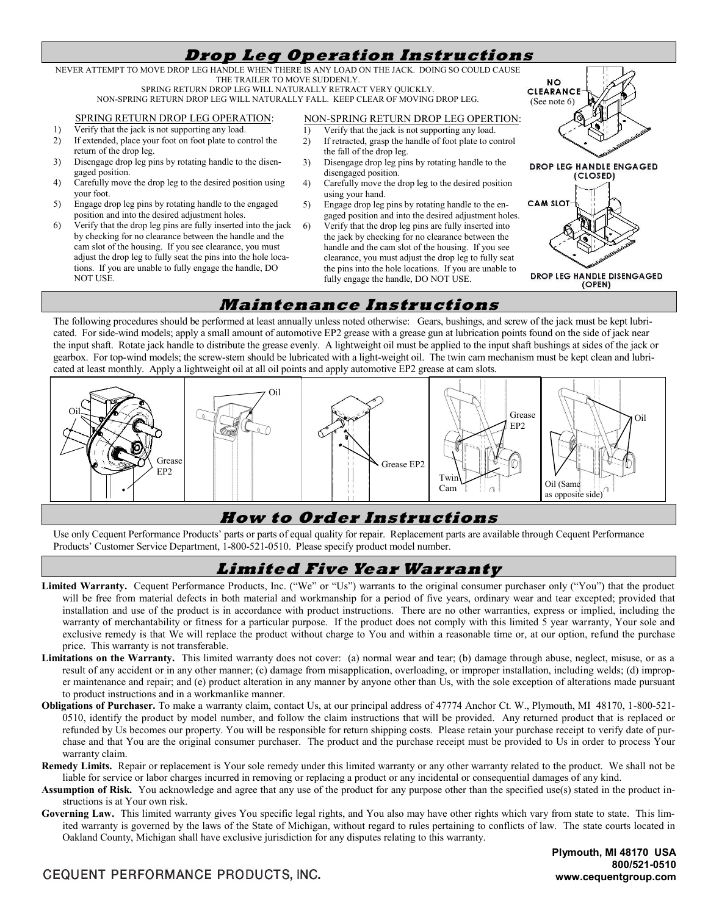



## **How to Order Instructions**

Use only Cequent Performance Products' parts or parts of equal quality for repair. Replacement parts are available through Cequent Performance Products' Customer Service Department, 1-800-521-0510. Please specify product model number.

## **Limited Five Year Warranty**

- **Limited Warranty.** Cequent Performance Products, Inc. ("We" or "Us") warrants to the original consumer purchaser only ("You") that the product will be free from material defects in both material and workmanship for a period of five years, ordinary wear and tear excepted; provided that installation and use of the product is in accordance with product instructions. There are no other warranties, express or implied, including the warranty of merchantability or fitness for a particular purpose. If the product does not comply with this limited 5 year warranty, Your sole and exclusive remedy is that We will replace the product without charge to You and within a reasonable time or, at our option, refund the purchase price. This warranty is not transferable.
- Limitations on the Warranty. This limited warranty does not cover: (a) normal wear and tear; (b) damage through abuse, neglect, misuse, or as a result of any accident or in any other manner; (c) damage from misapplication, overloading, or improper installation, including welds; (d) improper maintenance and repair; and (e) product alteration in any manner by anyone other than Us, with the sole exception of alterations made pursuant to product instructions and in a workmanlike manner.
- **Obligations of Purchaser.** To make a warranty claim, contact Us, at our principal address of 47774 Anchor Ct. W., Plymouth, MI 48170, 1-800-521- 0510, identify the product by model number, and follow the claim instructions that will be provided. Any returned product that is replaced or refunded by Us becomes our property. You will be responsible for return shipping costs. Please retain your purchase receipt to verify date of purchase and that You are the original consumer purchaser. The product and the purchase receipt must be provided to Us in order to process Your warranty claim.
- **Remedy Limits.** Repair or replacement is Your sole remedy under this limited warranty or any other warranty related to the product. We shall not be liable for service or labor charges incurred in removing or replacing a product or any incidental or consequential damages of any kind.
- **Assumption of Risk.** You acknowledge and agree that any use of the product for any purpose other than the specified use(s) stated in the product instructions is at Your own risk.
- Governing Law. This limited warranty gives You specific legal rights, and You also may have other rights which vary from state to state. This limited warranty is governed by the laws of the State of Michigan, without regard to rules pertaining to conflicts of law. The state courts located in Oakland County, Michigan shall have exclusive jurisdiction for any disputes relating to this warranty.

**Plymouth, MI 48170 USA 800/521-0510 www.cequentgroup.com**

#### CEQUENT PERFORMANCE PRODUCTS, INC.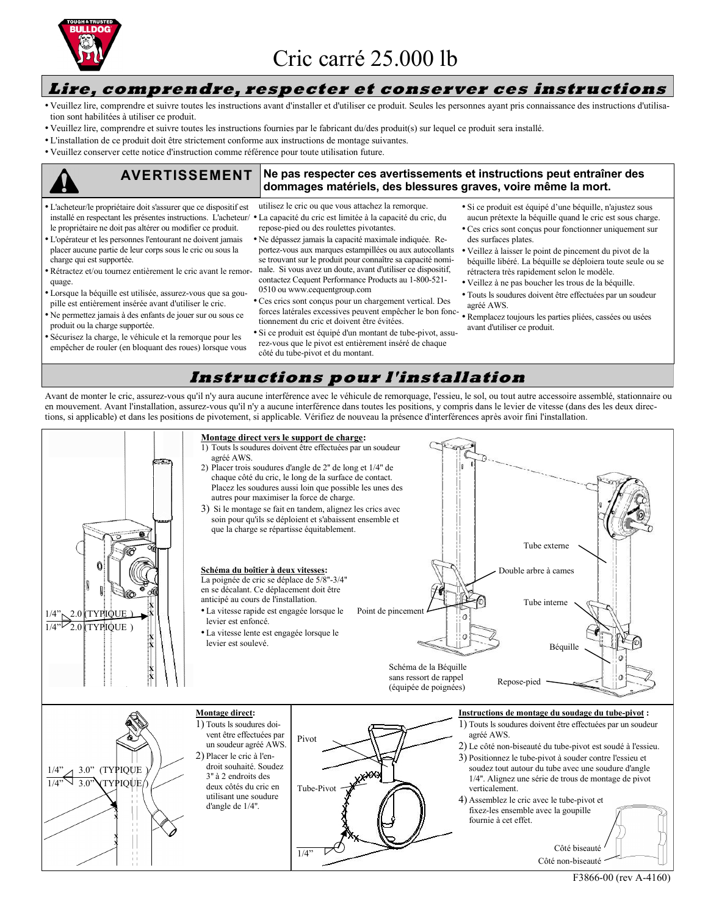

#### **Lire, comprendre, respecter et conserver ces instructions**

- Veuillez lire, comprendre et suivre toutes les instructions avant d'installer et d'utiliser ce produit. Seules les personnes ayant pris connaissance des instructions d'utilisation sont habilitées à utiliser ce produit.
- Veuillez lire, comprendre et suivre toutes les instructions fournies par le fabricant du/des produit(s) sur lequel ce produit sera installé.
- L'installation de ce produit doit être strictement conforme aux instructions de montage suivantes.
- Veuillez conserver cette notice d'instruction comme référence pour toute utilisation future.



- Sécurisez la charge, le véhicule et la remorque pour les empêcher de rouler (en bloquant des roues) lorsque vous
- Si ce produit est équipé d'un montant de tube-pivot, assurez-vous que le pivot est entièrement inséré de chaque côté du tube-pivot et du montant.
- avant d'utiliser ce produit.

## **Instructions pour l'installation**

Avant de monter le cric, assurez-vous qu'il n'y aura aucune interférence avec le véhicule de remorquage, l'essieu, le sol, ou tout autre accessoire assemblé, stationnaire ou en mouvement. Avant l'installation, assurez-vous qu'il n'y a aucune interférence dans toutes les positions, y compris dans le levier de vitesse (dans des les deux directions, si applicable) et dans les positions de pivotement, si applicable. Vérifiez de nouveau la présence d'interférences après avoir fini l'installation.



F3866-00 (rev A-4160)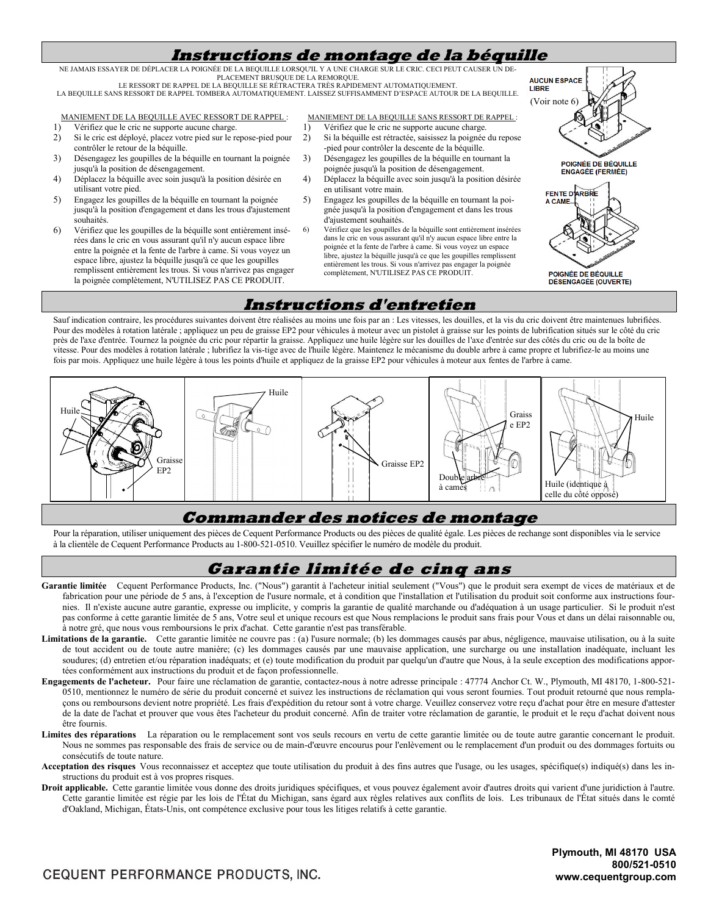## **Instructions de montage de la béquille**

NE JAMAIS ESSAYER DE DÉPLACER LA POIGNÉE DE LA BEQUILLE LORSQU'IL Y A UNE CHARGE SUR LE CRIC. CECI PEUT CAUSER UN DE-PLACEMENT BRUSQUE DE LA REMORQUE.

LE RESSORT DE RAPPEL DE LA BEQUILLE SE RÉTRACTERA TRÈS RAPIDEMENT AUTOMATIQUEMENT. LA BEQUILLE SANS RESSORT DE RAPPEL TOMBERA AUTOMATIQUEMENT. LAISSEZ SUFFISAMMENT D'ESPACE AUTOUR DE LA BEQUILLE.

MANIEMENT DE LA BEQUILLE AVEC RESSORT DE RAPPEL :

- 1) Vérifiez que le cric ne supporte aucune charge. 2) Si le cric est déployé, placez votre pied sur le repose-pied pour contrôler le retour de la béquille.
- 3) Désengagez les goupilles de la béquille en tournant la poignée
- jusqu'à la position de désengagement. 4) Déplacez la béquille avec soin jusqu'à la position désirée en
- utilisant votre pied. 5) Engagez les goupilles de la béquille en tournant la poignée jusqu'à la position d'engagement et dans les trous d'ajustement souhaités.
- 6) Vérifiez que les goupilles de la béquille sont entièrement insérées dans le cric en vous assurant qu'il n'y aucun espace libre entre la poignée et la fente de l'arbre à came. Si vous voyez un espace libre, ajustez la béquille jusqu'à ce que les goupilles remplissent entièrement les trous. Si vous n'arrivez pas engager la poignée complètement, N'UTILISEZ PAS CE PRODUIT.
- MANIEMENT DE LA BEQUILLE SANS RESSORT DE RAPPEL :
- 1) Vérifiez que le cric ne supporte aucune charge. 2) Si la béquille est rétractée, saisissez la poignée du repose
- -pied pour contrôler la descente de la béquille. 3) Désengagez les goupilles de la béquille en tournant la
	- poignée jusqu'à la position de désengagement.
- 4) Déplacez la béquille avec soin jusqu'à la position désirée en utilisant votre main.
- 5) Engagez les goupilles de la béquille en tournant la poignée jusqu'à la position d'engagement et dans les trous d'ajustement souhaités.
- 6) Vérifiez que les goupilles de la béquille sont entièrement insérées dans le cric en vous assurant qu'il n'y aucun espace libre entre la poignée et la fente de l'arbre à came. Si vous voyez un espace libre, ajustez la béquille jusqu'à ce que les goupilles remplissent entièrement les trous. Si vous n'arrivez pas engager la poignée complètement, N'UTILISEZ PAS CE PRODUIT.



POIGNÉE DE BÉQUILLE DÉSENGAGÉE (OUVERTE)

#### **Instructions d'entretien**

Sauf indication contraire, les procédures suivantes doivent être réalisées au moins une fois par an : Les vitesses, les douilles, et la vis du cric doivent être maintenues lubrifiées. Pour des modèles à rotation latérale ; appliquez un peu de graisse EP2 pour véhicules à moteur avec un pistolet à graisse sur les points de lubrification situés sur le côté du cric près de l'axe d'entrée. Tournez la poignée du cric pour répartir la graisse. Appliquez une huile légère sur les douilles de l'axe d'entrée sur des côtés du cric ou de la boîte de vitesse. Pour des modèles à rotation latérale ; lubrifiez la vis-tige avec de l'huile légère. Maintenez le mécanisme du double arbre à came propre et lubrifiez-le au moins une fois par mois. Appliquez une huile légère à tous les points d'huile et appliquez de la graisse EP2 pour véhicules à moteur aux fentes de l'arbre à came.



#### **Commander des notices de montage**

Pour la réparation, utiliser uniquement des pièces de Cequent Performance Products ou des pièces de qualité égale. Les pièces de rechange sont disponibles via le service à la clientèle de Cequent Performance Products au 1-800-521-0510. Veuillez spécifier le numéro de modèle du produit.

## **Garantie limitée de cinq ans**

- Garantie limitée Cequent Performance Products, Inc. ("Nous") garantit à l'acheteur initial seulement ("Vous") que le produit sera exempt de vices de matériaux et de fabrication pour une période de 5 ans, à l'exception de l'usure normale, et à condition que l'installation et l'utilisation du produit soit conforme aux instructions fournies. Il n'existe aucune autre garantie, expresse ou implicite, y compris la garantie de qualité marchande ou d'adéquation à un usage particulier. Si le produit n'est pas conforme à cette garantie limitée de 5 ans, Votre seul et unique recours est que Nous remplacions le produit sans frais pour Vous et dans un délai raisonnable ou, à notre gré, que nous vous remboursions le prix d'achat. Cette garantie n'est pas transférable.
- Limitations de la garantie. Cette garantie limitée ne couvre pas : (a) l'usure normale; (b) les dommages causés par abus, négligence, mauvaise utilisation, ou à la suite de tout accident ou de toute autre manière; (c) les dommages causés par une mauvaise application, une surcharge ou une installation inadéquate, incluant les soudures; (d) entretien et/ou réparation inadéquats; et (e) toute modification du produit par quelqu'un d'autre que Nous, à la seule exception des modifications apportées conformément aux instructions du produit et de façon professionnelle.
- **Engagements de l'acheteur.** Pour faire une réclamation de garantie, contactez-nous à notre adresse principale : 47774 Anchor Ct. W., Plymouth, MI 48170, 1-800-521- 0510, mentionnez le numéro de série du produit concerné et suivez les instructions de réclamation qui vous seront fournies. Tout produit retourné que nous remplaçons ou remboursons devient notre propriété. Les frais d'expédition du retour sont à votre charge. Veuillez conservez votre reçu d'achat pour être en mesure d'attester de la date de l'achat et prouver que vous êtes l'acheteur du produit concerné. Afin de traiter votre réclamation de garantie, le produit et le reçu d'achat doivent nous être fournis.
- Limites des réparations La réparation ou le remplacement sont vos seuls recours en vertu de cette garantie limitée ou de toute autre garantie concernant le produit. Nous ne sommes pas responsable des frais de service ou de main-d'œuvre encourus pour l'enlèvement ou le remplacement d'un produit ou des dommages fortuits ou consécutifs de toute nature.
- **Acceptation des risques** Vous reconnaissez et acceptez que toute utilisation du produit à des fins autres que l'usage, ou les usages, spécifique(s) indiqué(s) dans les instructions du produit est à vos propres risques.
- **Droit applicable.** Cette garantie limitée vous donne des droits juridiques spécifiques, et vous pouvez également avoir d'autres droits qui varient d'une juridiction à l'autre. Cette garantie limitée est régie par les lois de l'État du Michigan, sans égard aux règles relatives aux conflits de lois. Les tribunaux de l'État situés dans le comté d'Oakland, Michigan, États-Unis, ont compétence exclusive pour tous les litiges relatifs à cette garantie.

**Plymouth, MI 48170 USA 800/521-0510 www.cequentgroup.com**

## CEQUENT PERFORMANCE PRODUCTS, INC.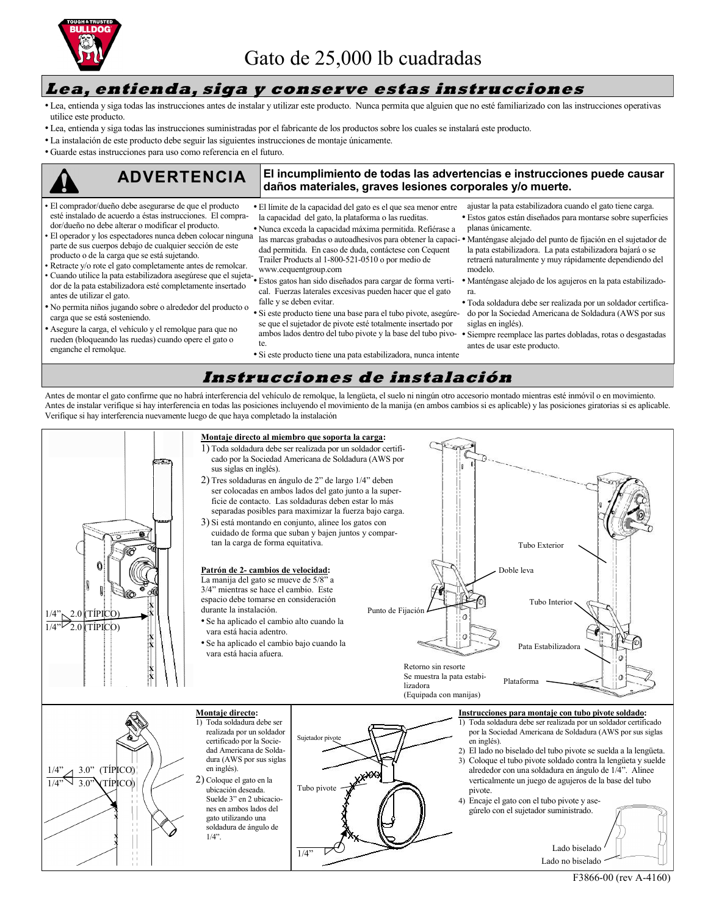

#### **Lea, entienda, siga y conserve estas instrucciones**

- Lea, entienda y siga todas las instrucciones antes de instalar y utilizar este producto. Nunca permita que alguien que no esté familiarizado con las instrucciones operativas utilice este producto.
- Lea, entienda y siga todas las instrucciones suministradas por el fabricante de los productos sobre los cuales se instalará este producto.
- La instalación de este producto debe seguir las siguientes instrucciones de montaje únicamente.
- Guarde estas instrucciones para uso como referencia en el futuro.

| <b>ADVERTENCIA</b>                                                                                                                                                                                                                                                                                                                                                                                                                                                                                                                                                                                                                                                                                                                                                                                                                                                                                    | El incumplimiento de todas las advertencias e instrucciones puede causar<br>daños materiales, graves lesiones corporales y/o muerte.                                                                                                                                                                                                                                                                                                                                                                                                                                                                                                                                                           |                                                                                                                                                                                                                                                                                                                                                                                                                                                                                                                                                                                                                                                                                                                                            |
|-------------------------------------------------------------------------------------------------------------------------------------------------------------------------------------------------------------------------------------------------------------------------------------------------------------------------------------------------------------------------------------------------------------------------------------------------------------------------------------------------------------------------------------------------------------------------------------------------------------------------------------------------------------------------------------------------------------------------------------------------------------------------------------------------------------------------------------------------------------------------------------------------------|------------------------------------------------------------------------------------------------------------------------------------------------------------------------------------------------------------------------------------------------------------------------------------------------------------------------------------------------------------------------------------------------------------------------------------------------------------------------------------------------------------------------------------------------------------------------------------------------------------------------------------------------------------------------------------------------|--------------------------------------------------------------------------------------------------------------------------------------------------------------------------------------------------------------------------------------------------------------------------------------------------------------------------------------------------------------------------------------------------------------------------------------------------------------------------------------------------------------------------------------------------------------------------------------------------------------------------------------------------------------------------------------------------------------------------------------------|
| · El comprador/dueño debe asegurarse de que el producto<br>esté instalado de acuerdo a éstas instrucciones. El compra-<br>dor/dueño no debe alterar o modificar el producto.<br>• El operador y los espectadores nunca deben colocar ninguna<br>parte de sus cuerpos debajo de cualquier sección de este<br>producto o de la carga que se está sujetando.<br>• Retracte y/o rote el gato completamente antes de remolcar.<br>• Cuando utilice la pata estabilizadora asegúrese que el sujeta • Estos gatos han sido diseñados para cargar de forma verti-<br>dor de la pata estabilizadora esté completamente insertado<br>antes de utilizar el gato.<br>• No permita niños jugando sobre o alrededor del producto o<br>carga que se está sosteniendo.<br>• Asegure la carga, el vehículo y el remolque para que no<br>rueden (bloqueando las ruedas) cuando opere el gato o<br>enganche el remolque. | • El límite de la capacidad del gato es el que sea menor entre<br>la capacidad del gato, la plataforma o las rueditas.<br>· Nunca exceda la capacidad máxima permitida. Refiérase a<br>dad permitida. En caso de duda, contáctese con Cequent<br>Trailer Products al 1-800-521-0510 o por medio de<br>www.cequentgroup.com<br>cal. Fuerzas laterales excesivas pueden hacer que el gato<br>falle y se deben evitar.<br>• Si este producto tiene una base para el tubo pivote, asegúre-<br>se que el sujetador de pivote esté totalmente insertado por<br>ambos lados dentro del tubo pivote y la base del tubo pivo-<br>te.<br>• Si este producto tiene una pata estabilizadora, nunca intente | ajustar la pata estabilizadora cuando el gato tiene carga.<br>• Estos gatos están diseñados para montarse sobre superficies<br>planas únicamente.<br>las marcas grabadas o autoadhesivos para obtener la capaci- • Manténgase alejado del punto de fijación en el sujetador de<br>la pata estabilizadora. La pata estabilizadora bajará o se<br>retraerá naturalmente y muy rápidamente dependiendo del<br>modelo.<br>· Manténgase alejado de los agujeros en la pata estabilizado-<br>ra.<br>· Toda soldadura debe ser realizada por un soldador certifica-<br>do por la Sociedad Americana de Soldadura (AWS por sus<br>siglas en inglés).<br>Siempre reemplace las partes dobladas, rotas o desgastadas<br>antes de usar este producto. |

**Instrucciones de instalación**

Antes de montar el gato confirme que no habrá interferencia del vehículo de remolque, la lengüeta, el suelo ni ningún otro accesorio montado mientras esté inmóvil o en movimiento. Antes de instalar verifique si hay interferencia en todas las posiciones incluyendo el movimiento de la manija (en ambos cambios si es aplicable) y las posiciones giratorias si es aplicable. Verifique si hay interferencia nuevamente luego de que haya completado la instalación



F3866-00 (rev A-4160)